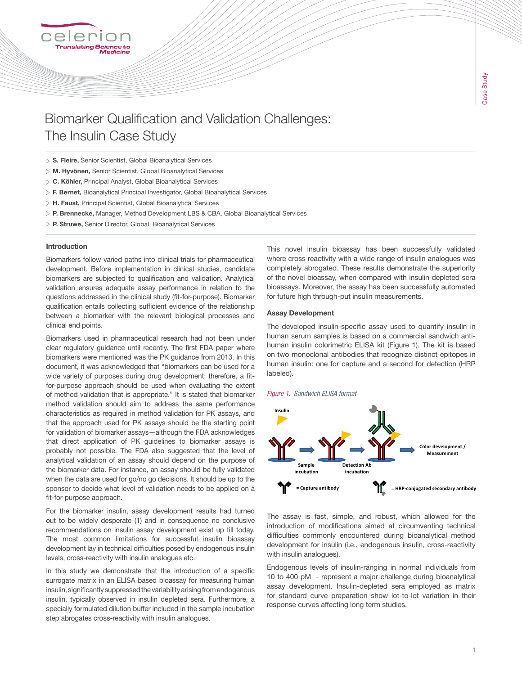# Biomarker Qualification and Validation Challenges: The Insulin Case Study

- $\triangleright$  S. Fleire, Senior Scientist, Global Bioanalytical Services
- M. Hyvönen, Senior Scientist, Global Bioanalytical Services
- C. Köhler, Principal Analyst, Global Bioanalytical Services
- $\triangleright$  F. Bernet, Bioanalytical Principal Investigator, Global Bioanalytical Services
- $\triangleright$  H. Faust, Principal Scientist, Global Bioanalytical Services
- P. Brennecke, Manager, Method Development LBS & CBA, Global Bioanalytical Services
- P. Struwe, Senior Director, Global Bioanalytical Services

#### Introduction

Biomarkers follow varied paths into clinical trials for pharmaceutical development. Before implementation in clinical studies, candidate biomarkers are subjected to qualification and validation. Analytical validation ensures adequate assay performance in relation to the questions addressed in the clinical study (fit-for-purpose). Biomarker qualification entails collecting sufficient evidence of the relationship between a biomarker with the relevant biological processes and clinical end points.

Biomarkers used in pharmaceutical research had not been under clear regulatory guidance until recently. The first FDA paper where biomarkers were mentioned was the PK guidance from 2013. In this document, it was acknowledged that "biomarkers can be used for a wide variety of purposes during drug development; therefore, a fitfor-purpose approach should be used when evaluating the extent of method validation that is appropriate." It is stated that biomarker method validation should aim to address the same performance characteristics as required in method validation for PK assays, and that the approach used for PK assays should be the starting point for validation of biomarker assays—although the FDA acknowledges that direct application of PK guidelines to biomarker assays is probably not possible. The FDA also suggested that the level of analytical validation of an assay should depend on the purpose of the biomarker data. For instance, an assay should be fully validated when the data are used for go/no go decisions. It should be up to the sponsor to decide what level of validation needs to be applied on a fit-for-purpose approach.

For the biomarker insulin, assay development results had turned out to be widely desperate (1) and in consequence no conclusive recommendations on insulin assay development exist up till today. The most common limitations for successful insulin bioassay development lay in technical difficulties posed by endogenous insulin levels, cross-reactivity with insulin analogues etc.

In this study we demonstrate that the introduction of a specific surrogate matrix in an ELISA based bioassay for measuring human insulin, significantly suppressed the variability arising from endogenous insulin, typically observed in insulin depleted sera. Furthermore, a specially formulated dilution buffer included in the sample incubation step abrogates cross-reactivity with insulin analogues.

This novel insulin bioassay has been successfully validated where cross reactivity with a wide range of insulin analogues was completely abrogated. These results demonstrate the superiority of the novel bioassay, when compared with insulin depleted sera bioassays. Moreover, the assay has been successfully automated for future high through-put insulin measurements.

#### Assay Development

The developed insulin-specific assay used to quantify insulin in human serum samples is based on a commercial sandwich antihuman insulin colorimetric ELISA kit (Figure 1). The kit is based on two monoclonal antibodies that recognize distinct epitopes in human insulin: one for capture and a second for detection (HRP labeled).

#### *Figure 1. Sandwich ELISA format*



The assay is fast, simple, and robust, which allowed for the introduction of modifications aimed at circumventing technical difficulties commonly encountered during bioanalytical method development for insulin (i.e., endogenous insulin, cross-reactivity with insulin analogues).  $\overline{\phantom{a}}$  assays development. Insulin-dependent seraor employed seraor  $\overline{\phantom{a}}$ 

Endogenous levels of insulin-ranging in normal individuals from not general terms of meaninging in normal individuals non-<br>10 to 400 pM - represent a major challenge during bioanalytical To to foo pm insprosom a major onalisings damig biodinal yesa.<br>assay development. Insulin-depleted sera employed as matrix abody development. Indulin depleted bord employed do matrix response curves affecting long term studies. constantiant curves preparation show for to for vaniation in their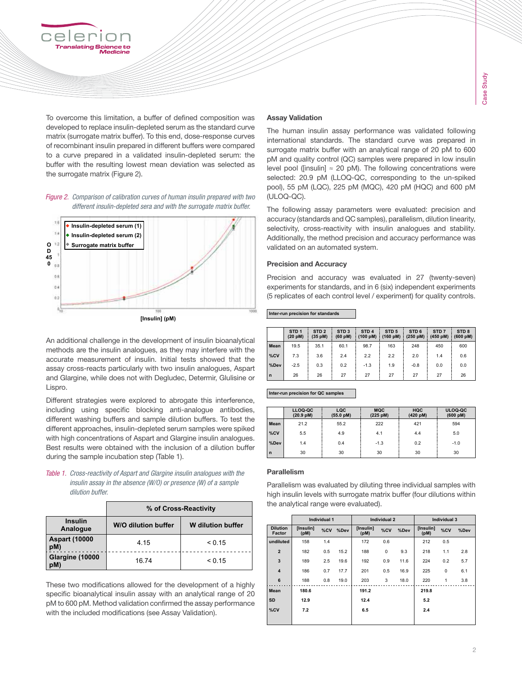

To overcome this limitation, a buffer of defined composition was **Assay Validation** for overcome and immation, a banef of defined composition was **Assay vandation**<br>developed to replace insulin-depleted serum as the standard curve The human insulin-geogy in  $\frac{1}{2}$  The human insulin assay p matrix (surrogate matrix buffer). To this end, dose-response curves and interpretional standards. The matrix (surrogate matrix buffer). To this end, dose-response curves manix (surregate manix baner). To this end, absorbe response carves<br>of recombinant insulin prepared in different buffers were compared  $\frac{1}{100}$  surrogate matrix buffer with to a curve prepared in a validated insulin-depleted serum: the particle control (OC) to a cave prepared in a validated insulin depleted serum. Incomponent pM and quality control (QC) is the surrogate matrix (Figure 2).

*Figure 2. Comparison of calibration curves of human insulin prepared with two different insulin-depleted sera and with the surrogate matrix buffer.*



An additional challenge in the development of insulin bioanalytical methods are the insulin analogues, as they may interfere with the accurate measurement of insulin. Initial tests showed that the assay cross-reacts particularly with two insulin analogues, Aspart and Glargine, while does not with Degludec, Determir, Glulisine or Lispro.

Different strategies were explored to abrogate this interference, including using specific blocking anti-analogue antibodies,  $\overline{a}$  **LLOQ-QC** LQC different washing buffers and sample dilution buffers. To test the  $\frac{1}{\text{Mean}}$   $\frac{21.2}{21.2}$  55.2 different approaches, insulin-depleted serum samples were spiked with high concentrations of Aspart and Glargine insulin analogues.  $\begin{bmatrix} 1 & 1 & 1 \\ 0 & 0 & 0 \\ 0 & 1 & 0 \end{bmatrix}$ Best results were obtained with the inclusion of a dilution buffer  $\begin{bmatrix} 1 & 1 & 1 \\ 0 & 1 & 1 \\ 0 & 0 & 0 \end{bmatrix}$ during the sample incubation step (Table 1).

*Table 1. Cross-reactivity of Aspart and Glargine insulin analogues with the insulin assay in the absence (W/O) or presence (W) of a sample dilution buffer.*

|                             | % of Cross-Reactivity |                   |  |  |  |  |  |
|-----------------------------|-----------------------|-------------------|--|--|--|--|--|
| <b>Insulin</b><br>Analogue  | W/O dilution buffer   | W dilution buffer |  |  |  |  |  |
| <b>Aspart (10000</b><br>pM) | 4.15                  | < 0.15            |  |  |  |  |  |
| Glargine (10000<br>pM)      | 16.74                 | < 0.15            |  |  |  |  |  |

These two modifications allowed for the development of a highly specific bioanalytical insulin assay with an analytical range of 20 pM to 600 pM. Method validation confirmed the assay performance  $\begin{bmatrix} 30 \\ 200 \end{bmatrix}$ with the included modifications (see Assay Validation).

# Assay Validation

The human insulin assay performance was validated following international standards. The standard curve was prepared in surrogate matrix buffer with an analytical range of 20 pM to 600 pM and quality control (QC) samples were prepared in low insulin  $\frac{1}{2}$  curves to the resulting lowest inearm deviation was selected as level pool ([insulin] ≈ 20 pM). The following concentrations were are surrogate manx (rigure z). The corresponding to the un-spiked selected: 20.9 pM (LLOQ-QC, corresponding to the un-spiked pool), 55 pM (LQC), 225 pM (MQC), 420 pM (HQC) and 600 pM (ULOQ-QC).

> The following assay parameters were evaluated: precision and **% of cross-reactivity** accuracy (standards and QC samples), parallelism, dilution linearity, selectivity, cross-reactivity with insulin analogues and stability. Additionally, the method precision and accuracy performance was validated on an automated system. **Insulin Analogue W/O dilution buffer W dilution buffer**

# **Precision and Accuracy**

Precision and accuracy was evaluated in 27 (twenty-seven) experiments for standards, and in 6 (six) independent experiments (5 replicates of each control level / experiment) for quality controls.

**Inter-run precision for standards STD 1 (20 pM) STD 2 (35 pM) STD 3 (60 pM) Inter-run precision for standards**

|                                                                                                                                          |              | STD <sub>1</sub><br>(20 pM) | STD <sub>2</sub><br>(35 pM) | STD <sub>3</sub><br>(60 pM) | STD <sub>4</sub><br>(100 pM) | STD <sub>5</sub><br>$(160 \text{ pM})$ $(250 \text{ pM})$ $(450 \text{ pM})$ $(600 \text{ pM})$ | STD <sub>6</sub> | STD <sub>7</sub> | STD <sub>8</sub> |
|------------------------------------------------------------------------------------------------------------------------------------------|--------------|-----------------------------|-----------------------------|-----------------------------|------------------------------|-------------------------------------------------------------------------------------------------|------------------|------------------|------------------|
| An additional challenge in the development of insulin bioanalytical<br>methods are the insulin analogues, as they may interfere with the | Mean         | 19.5                        | 35.1                        | 60.1                        | 98.7                         | 163                                                                                             | 248              | 450              | 600              |
| accurate measurement of insulin. Initial tests showed that the                                                                           | %CV          | 7.3                         | 3.6                         | 2.4                         | 2.2                          | 2.2                                                                                             | 2.0              | 1.4              | 0.6              |
| assay cross-reacts particularly with two insulin analogues, Aspart                                                                       | %Dev         | $-2.5$                      | 0.3                         | 0.2                         | $-1.3$                       | 1.9                                                                                             | $-0.8$           | 0.0              | 0.0              |
| and Glargine, while does not with Degludec, Determir, Glulisine or                                                                       | $\mathsf{n}$ | 26                          | 26                          | 27                          | 27                           | 27                                                                                              | 27               | 27               | 26               |

#### **Inter-run precision for QC samples**

|              | LLOQ-QC<br>(20.9 pM) | LQC<br>(55.0 pM) | <b>MQC</b><br>(225 pM) | <b>HQC</b><br>(420 pM) | ULOQ-QC<br>(600 pM) |
|--------------|----------------------|------------------|------------------------|------------------------|---------------------|
| Mean         | 21.2                 | 55.2             | 222                    | 421                    | 594                 |
| %CV          | 5.5                  | 4.9              | 4.1                    | 4.4                    | 5.0                 |
| %Dev         | 1.4                  | 0.4              | $-1.3$                 | 0.2                    | $-1.0$              |
| $\mathsf{n}$ | 30                   | 30               | 30                     | 30                     | 30                  |

#### **Parallelism**

Parallelism was evaluated by diluting three individual samples with high insulin levels with surrogate matrix buffer (four dilutions within  $\mathbf{F}$  the analytical range were evaluated).

| lution buffer            |                                  | Individual 1      |         |      | Individual 2      |     |      | Individual 3      |     |      |
|--------------------------|----------------------------------|-------------------|---------|------|-------------------|-----|------|-------------------|-----|------|
|                          | <b>Dilution</b><br><b>Factor</b> | [Insulin]<br>(pM) | $\%$ CV | %Dev | [Insulin]<br>(pM) | %CV | %Dev | [Insulin]<br>(pM) | %CV | %Dev |
| < 0.15                   | undiluted                        | 158               | 1.4     |      | 172               | 0.6 |      | 212               | 0.5 |      |
|                          | $\overline{2}$                   | 182               | 0.5     | 15.2 | 188               | 0   | 9.3  | 218               | 1.1 | 2.8  |
| < 0.15                   | 3                                | 189               | 2.5     | 19.6 | 192               | 0.9 | 11.6 | 224               | 0.2 | 5.7  |
|                          | $\overline{\mathbf{4}}$          | 186               | 0.7     | 17.7 | 201               | 0.5 | 16.9 | 225               | 0   | 6.1  |
| ment of a highly         | 6                                | 188               | 0.8     | 19.0 | 203               | 3   | 18.0 | 220               | 1   | 3.8  |
| ical range of 20         | <b>Mean</b>                      | 180.6             |         |      | 191.2             |     |      | 219.8             |     |      |
| say performance<br>ion). | <b>SD</b>                        | 12.9              |         |      | 12.4              |     |      | 5.2               |     |      |
|                          | %CV                              | 7.2               |         |      | 6.5               |     |      | 2.4               |     |      |
|                          |                                  |                   |         |      |                   |     |      |                   |     |      |
|                          |                                  |                   |         |      |                   |     |      |                   |     |      |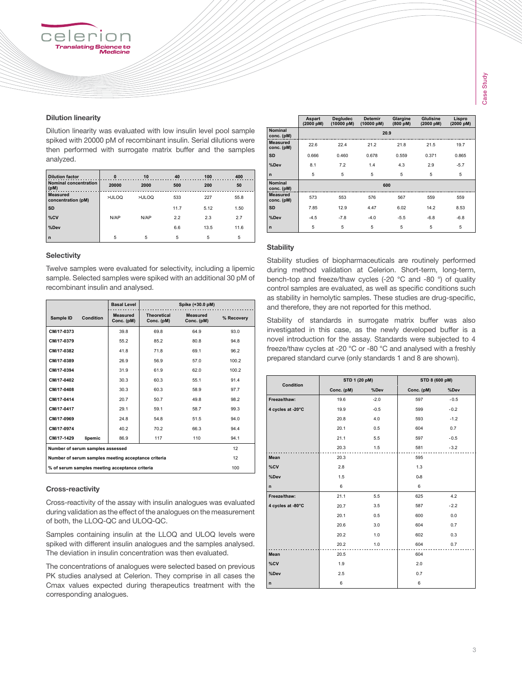

## Dilution linearity

∋l ⊖ r anslating <mark>S</mark>cie

Dilution linearity was evaluated with low insulin level pool sample spiked with 20000 pM of recombinant insulin. Serial dilutions were then performed with surrogate matrix buffer and the samples analyzed.

| <b>Dilution factor</b><br><b>Nominal concentration</b><br>(pM) | $\bf{0}$<br>20000 | 10<br>2000 | 40<br>500 | 100<br>200 | 400<br>50 |
|----------------------------------------------------------------|-------------------|------------|-----------|------------|-----------|
| <b>Measured</b><br>concentration (pM)                          | >ULOQ             | >ULOQ      | 533       | 227        | 55.8      |
| <b>SD</b>                                                      |                   |            | 11.7      | 5.12       | 1.50      |
| %CV                                                            | N/AP              | N/AP       | 2.2       | 2.3        | 2.7       |
| %Dev                                                           |                   |            | 6.6       | 13.5       | 11.6      |
| $\mathsf{n}$                                                   | 5                 | 5          | 5         | 5          | 5         |
|                                                                |                   |            |           |            |           |

#### **Selectivity Selectivity**

**Twelve samples were evaluated for selectivity, including a lipemic IDENSIFY CONDITIONS** TO **CONDITY, INTERNATION CONDITION** recombinant insulin and analysed. **Conc. (pM) % Recovery**

|                                                     | <b>Basal Level</b>     |                                  | Spike (+30.0 pM)       |            |
|-----------------------------------------------------|------------------------|----------------------------------|------------------------|------------|
| Condition<br>Sample ID                              | Measured<br>Conc. (pM) | <b>Theoretical</b><br>Conc. (pM) | Measured<br>Conc. (pM) | % Recovery |
| CM/17-0373                                          | 39.8                   | 69.8                             | 64.9                   | 93.0       |
| CM/17-0379                                          | 55.2                   | 85.2                             | 80.8                   | 94.8       |
| CM/17-0382                                          | 41.8                   | 71.8                             | 69.1                   | 96.2       |
| CM/17-0389                                          | 26.9                   | 56.9                             | 57.0                   | 100.2      |
| CM/17-0394                                          | 31.9                   | 61.9                             | 62.0                   | 100.2      |
| CM/17-0402                                          | 30.3                   | 60.3                             | 55.1                   | 91.4       |
| CM/17-0408                                          | 30.3                   | 60.3                             | 58.9                   | 97.7       |
| CM/17-0414                                          | 20.7                   | 50.7                             | 49.8                   | 98.2       |
| CM/17-0417                                          | 29.1                   | 59.1                             | 58.7                   | 99.3       |
| CM/17-0969                                          | 24.8                   | 54.8                             | 51.5                   | 94.0       |
| CM/17-0974                                          | 40.2                   | 70.2                             | 66.3                   | 94.4       |
| CM/17-1429<br>lipemic                               | 86.9                   | 117                              | 110                    | 94.1       |
| Number of serum samples assessed                    |                        | 12                               |                        |            |
| Number of serum samples meeting acceptance criteria |                        | 12                               |                        |            |
| % of serum samples meeting acceptance criteria      |                        |                                  |                        | 100        |

# **Cross-reactivity**

Cross-reactivity of the assay with insulin analogues was evaluated during validation as the effect of the analogues on the measurement of both, the LLOQ-QC and ULOQ-QC.

Samples containing insulin at the LLOQ and ULOQ levels were spiked with different insulin analogues and the samples analysed. The deviation in insulin concentration was then evaluated.

**The concentrations of analogues were selected based on previous** PK studies analysed at Celerion. They comprise in all cases the Cmax values expected during therapeutics treatment with the corresponding analogues.

|                               | Aspart<br>(2000 pM) | Degludec<br>(10000 pM) | Detemir<br>(10000 pM) | Glargine<br>(800 pM) | Glulisine<br>(2000 pM) | Lispro<br>(2000 pM) |  |  |  |  |
|-------------------------------|---------------------|------------------------|-----------------------|----------------------|------------------------|---------------------|--|--|--|--|
| <b>Nominal</b><br>conc. (pM)  | 20.9                |                        |                       |                      |                        |                     |  |  |  |  |
| <b>Measured</b><br>conc. (pM) | 22.6                | 22.4                   | 21.2                  | 21.8                 | 21.5                   | 19.7                |  |  |  |  |
| <b>SD</b>                     | 0.666               | 0.460                  | 0.678                 | 0.559                | 0.371                  | 0.865               |  |  |  |  |
| %Dev                          | 8.1                 | 7.2                    | 1.4                   | 4.3                  | 2.9                    | $-5.7$              |  |  |  |  |
| $\mathsf{n}$                  | 5                   | 5                      | 5                     | 5                    | 5                      | 5                   |  |  |  |  |
| <b>Nominal</b><br>conc. (pM)  |                     |                        | 600                   |                      |                        |                     |  |  |  |  |
| <b>Measured</b><br>conc. (pM) | 573                 | 553                    | 576                   | 567                  | 559                    | 559                 |  |  |  |  |
| <b>SD</b>                     | 7.85                | 12.9                   | 4.47                  | 6.02                 | 14.2                   | 8.53                |  |  |  |  |
| %Dev                          | $-4.5$              | $-7.8$                 | $-4.0$                | $-5.5$               | $-6.8$                 | $-6.8$              |  |  |  |  |
| $\mathsf{n}$                  | 5                   | 5                      | 5                     | 5                    | 5                      | 5                   |  |  |  |  |

**CM/17-0402** 30.3 60.3 55.1 91.4 **CM/17-0408** 30.3 60.3 58.9 97.7 **CM/17-0414** 20.7 50.7 49.8 98.2 **CM/17-0417** 29.1 59.1 58.7 99.3 **CM/17-0969** 24.8 54.8 51.5 94.0 **CM/17-0974** 40.2 70.2 66.3 94.4 **CM/17-1429 lipemic** 86.9 117 110 94.1

# **Stability**

Stability studies of biopharmaceuticals are routinely performed during method validation at Celerion. Short-term, long-term, bench-top and freeze/thaw cycles (-20 °C and -80 °) of quality control samples are evaluated, as well as specific conditions such as stability in hemolytic samples. These studies are drug-specific, and therefore, they are not reported for this method.

Stability of standards in surrogate matrix buffer was also investigated in this case, as the newly developed buffer is a novel introduction for the assay. Standards were subjected to 4 freeze/thaw cycles at -20 °C or -80 °C and analysed with a freshly prepared standard curve (only standards 1 and 8 are shown). **Insulin**

| Condition         | STD 1 (20 pM) |        | STD 8 (600 pM) |        |  |
|-------------------|---------------|--------|----------------|--------|--|
|                   | Conc. (pM)    | %Dev   | Conc. (pM)     | %Dev   |  |
| Freeze/thaw:      | 19.6          | $-2.0$ | 597            | $-0.5$ |  |
| 4 cycles at -20°C | 19.9          | $-0.5$ | 599            | $-0.2$ |  |
|                   | 20.8          | 4.0    | 593            | $-1.2$ |  |
|                   | 20.1          | 0.5    | 604            | 0.7    |  |
|                   | 21.1          | 5.5    | 597            | $-0.5$ |  |
|                   | 20.3          | 1.5    | 581            | $-3.2$ |  |
| Mean              | 20.3          |        | 595            |        |  |
| %CV               | 2.8           |        | 1.3            |        |  |
| %Dev              | 1.5           |        | $0 - 8$        |        |  |
| n                 | 6             |        | 6              |        |  |
| Freeze/thaw:      | 21.1          | 5.5    | 625            | 4.2    |  |
| 4 cycles at -80°C | 20.7          | 3.5    | 587            | $-2.2$ |  |
|                   | 20.1          | 0.5    | 600            | 0.0    |  |
|                   | 20.6          | 3.0    | 604            | 0.7    |  |
|                   | 20.2          | 1.0    | 602            | 0.3    |  |
|                   | 20.2          | 1.0    | 604            | 0.7    |  |
| Mean              | 20.5          |        | 604            |        |  |
| %CV               | 1.9           |        | 2.0            |        |  |
| %Dev              | 2.5           |        | 0.7            |        |  |
| n                 | 6             |        | 6              |        |  |